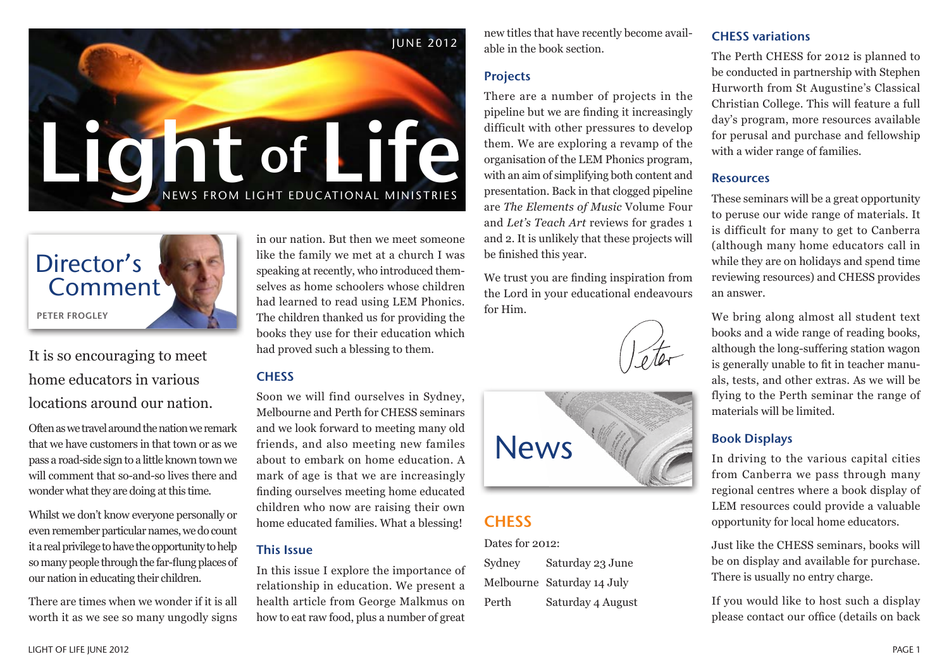



# It is so encouraging to meet home educators in various locations around our nation.

Often as we travel around the nation we remark that we have customers in that town or as we pass a road-side sign to a little known town we will comment that so-and-so lives there and wonder what they are doing at this time.

Whilst we don't know everyone personally or even remember particular names, we do count it a real privilege to have the opportunity to help so many people through the far-flung places of our nation in educating their children.

There are times when we wonder if it is all worth it as we see so many ungodly signs

in our nation. But then we meet someone like the family we met at a church I was speaking at recently, who introduced themselves as home schoolers whose children had learned to read using LEM Phonics. The children thanked us for providing the books they use for their education which had proved such a blessing to them.

# **CHESS**

Soon we will find ourselves in Sydney, Melbourne and Perth for CHESS seminars and we look forward to meeting many old friends, and also meeting new familes about to embark on home education. A mark of age is that we are increasingly finding ourselves meeting home educated children who now are raising their own home educated families. What a blessing!

### This Issue

In this issue I explore the importance of relationship in education. We present a health article from George Malkmus on how to eat raw food, plus a number of great new titles that have recently become available in the book section.

### Projects

There are a number of projects in the pipeline but we are finding it increasingly difficult with other pressures to develop them. We are exploring a revamp of the organisation of the LEM Phonics program, with an aim of simplifying both content and presentation. Back in that clogged pipeline are *The Elements of Music* Volume Four and *Let's Teach Art* reviews for grades 1 and 2. It is unlikely that these projects will be finished this year.

We trust you are finding inspiration from the Lord in your educational endeavours for Him.





# **CHESS**

Dates for 2012:

Sydney Saturday 23 June Melbourne Saturday 14 July Perth Saturday 4 August

## CHESS variations

The Perth CHESS for 2012 is planned to be conducted in partnership with Stephen Hurworth from St Augustine's Classical Christian College. This will feature a full day's program, more resources available for perusal and purchase and fellowship with a wider range of families.

#### Resources

These seminars will be a great opportunity to peruse our wide range of materials. It is difficult for many to get to Canberra (although many home educators call in while they are on holidays and spend time reviewing resources) and CHESS provides an answer.

We bring along almost all student text books and a wide range of reading books, although the long-suffering station wagon is generally unable to fit in teacher manuals, tests, and other extras. As we will be flying to the Perth seminar the range of materials will be limited.

# Book Displays

In driving to the various capital cities from Canberra we pass through many regional centres where a book display of LEM resources could provide a valuable opportunity for local home educators.

Just like the CHESS seminars, books will be on display and available for purchase. There is usually no entry charge.

If you would like to host such a display please contact our office (details on back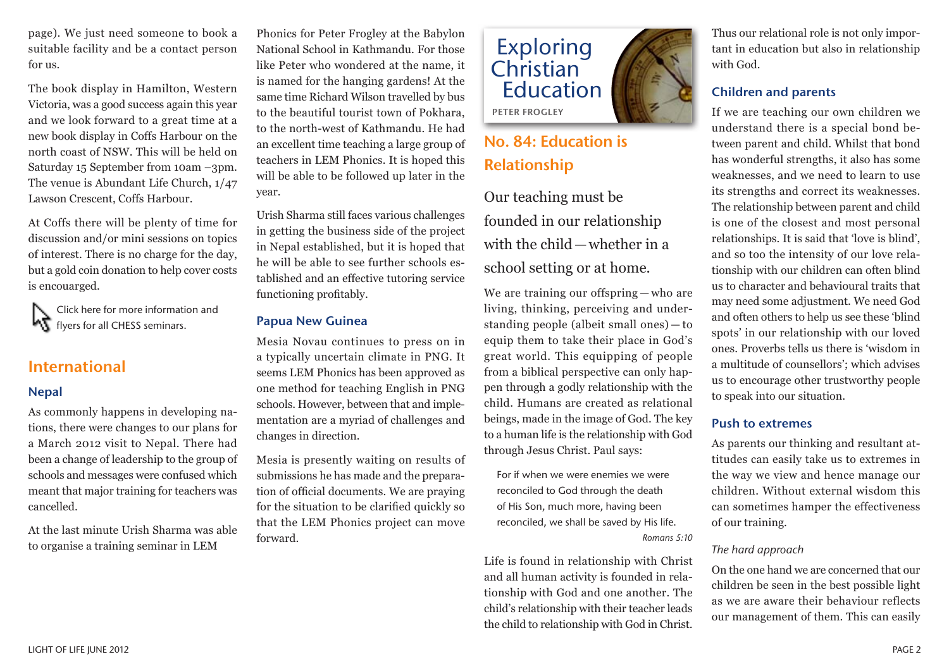page). We just need someone to book a suitable facility and be a contact person for us.

The book display in Hamilton, Western Victoria, was a good success again this year and we look forward to a great time at a new book display in Coffs Harbour on the north coast of NSW. This will be held on Saturday 15 September from 10am –3pm. The venue is Abundant Life Church, 1/47 Lawson Crescent, Coffs Harbour.

At Coffs there will be plenty of time for discussion and/or mini sessions on topics of interest. There is no charge for the day, but a gold coin donation to help cover costs is encouarged.

Click here for more information and **K** flyers for all CHESS seminars.

# International

#### Nepal

As commonly happens in developing nations, there were changes to our plans for a March 2012 visit to Nepal. There had been a change of leadership to the group of schools and messages were confused which meant that major training for teachers was cancelled.

At the last minute Urish Sharma was able to organise a training seminar in LEM

Phonics for Peter Frogley at the Babylon National School in Kathmandu. For those like Peter who wondered at the name, it is named for the hanging gardens! At the same time Richard Wilson travelled by bus to the beautiful tourist town of Pokhara, to the north-west of Kathmandu. He had an excellent time teaching a large group of teachers in LEM Phonics. It is hoped this will be able to be followed up later in the year.

Urish Sharma still faces various challenges in getting the business side of the project in Nepal established, but it is hoped that he will be able to see further schools established and an effective tutoring service functioning profitably.

#### Papua New Guinea

Mesia Novau continues to press on in a typically uncertain climate in PNG. It seems LEM Phonics has been approved as one method for teaching English in PNG schools. However, between that and implementation are a myriad of challenges and changes in direction.

Mesia is presently waiting on results of submissions he has made and the preparation of official documents. We are praying for the situation to be clarified quickly so that the LEM Phonics project can move forward.



# No. 84: Education is Relationship

Our teaching must be founded in our relationship with the child—whether in a school setting or at home.

We are training our offspring — who are living, thinking, perceiving and understanding people (albeit small ones) — to equip them to take their place in God's great world. This equipping of people from a biblical perspective can only happen through a godly relationship with the child. Humans are created as relational beings, made in the image of God. The key to a human life is the relationship with God through Jesus Christ. Paul says:

For if when we were enemies we were reconciled to God through the death of His Son, much more, having been reconciled, we shall be saved by His life. *Romans 5:10*

Life is found in relationship with Christ and all human activity is founded in relationship with God and one another. The child's relationship with their teacher leads the child to relationship with God in Christ.

Thus our relational role is not only important in education but also in relationship with God.

## Children and parents

If we are teaching our own children we understand there is a special bond between parent and child. Whilst that bond has wonderful strengths, it also has some weaknesses, and we need to learn to use its strengths and correct its weaknesses. The relationship between parent and child is one of the closest and most personal relationships. It is said that 'love is blind', and so too the intensity of our love relationship with our children can often blind us to character and behavioural traits that may need some adjustment. We need God and often others to help us see these 'blind spots' in our relationship with our loved ones. Proverbs tells us there is 'wisdom in a multitude of counsellors'; which advises us to encourage other trustworthy people to speak into our situation.

#### Push to extremes

As parents our thinking and resultant attitudes can easily take us to extremes in the way we view and hence manage our children. Without external wisdom this can sometimes hamper the effectiveness of our training.

#### *The hard approach*

On the one hand we are concerned that our children be seen in the best possible light as we are aware their behaviour reflects our management of them. This can easily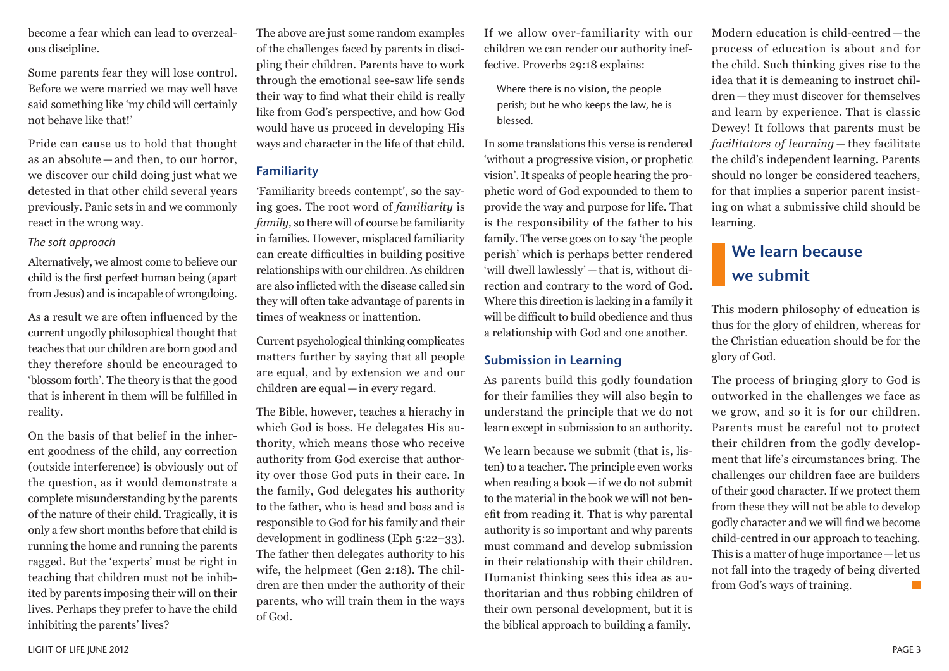become a fear which can lead to overzealous discipline.

Some parents fear they will lose control. Before we were married we may well have said something like 'my child will certainly not behave like that!'

Pride can cause us to hold that thought as an absolute — and then, to our horror, we discover our child doing just what we detested in that other child several years previously. Panic sets in and we commonly react in the wrong way.

#### *The soft approach*

Alternatively, we almost come to believe our child is the first perfect human being (apart from Jesus) and is incapable of wrongdoing.

As a result we are often influenced by the current ungodly philosophical thought that teaches that our children are born good and they therefore should be encouraged to 'blossom forth'. The theory is that the good that is inherent in them will be fulfilled in reality.

On the basis of that belief in the inherent goodness of the child, any correction (outside interference) is obviously out of the question, as it would demonstrate a complete misunderstanding by the parents of the nature of their child. Tragically, it is only a few short months before that child is running the home and running the parents ragged. But the 'experts' must be right in teaching that children must not be inhibited by parents imposing their will on their lives. Perhaps they prefer to have the child inhibiting the parents' lives?

The above are just some random examples of the challenges faced by parents in discipling their children. Parents have to work through the emotional see-saw life sends their way to find what their child is really like from God's perspective, and how God would have us proceed in developing His ways and character in the life of that child.

### Familiarity

'Familiarity breeds contempt', so the saying goes. The root word of *familiarity* is *family,* so there will of course be familiarity in families. However, misplaced familiarity can create difficulties in building positive relationships with our children. As children are also inflicted with the disease called sin they will often take advantage of parents in times of weakness or inattention.

Current psychological thinking complicates matters further by saying that all people are equal, and by extension we and our children are equal—in every regard.

The Bible, however, teaches a hierachy in which God is boss. He delegates His authority, which means those who receive authority from God exercise that authority over those God puts in their care. In the family, God delegates his authority to the father, who is head and boss and is responsible to God for his family and their development in godliness (Eph 5:22–33). The father then delegates authority to his wife, the helpmeet (Gen 2:18). The children are then under the authority of their parents, who will train them in the ways of God.

If we allow over-familiarity with our children we can render our authority ineffective. Proverbs 29:18 explains:

Where there is no vision, the people perish; but he who keeps the law, he is blessed.

In some translations this verse is rendered 'without a progressive vision, or prophetic vision'. It speaks of people hearing the prophetic word of God expounded to them to provide the way and purpose for life. That is the responsibility of the father to his family. The verse goes on to say 'the people perish' which is perhaps better rendered 'will dwell lawlessly'—that is, without direction and contrary to the word of God. Where this direction is lacking in a family it will be difficult to build obedience and thus a relationship with God and one another.

### Submission in Learning

As parents build this godly foundation for their families they will also begin to understand the principle that we do not learn except in submission to an authority.

We learn because we submit (that is, listen) to a teacher. The principle even works when reading a book—if we do not submit to the material in the book we will not benefit from reading it. That is why parental authority is so important and why parents must command and develop submission in their relationship with their children. Humanist thinking sees this idea as authoritarian and thus robbing children of their own personal development, but it is the biblical approach to building a family.

Modern education is child-centred — the process of education is about and for the child. Such thinking gives rise to the idea that it is demeaning to instruct children—they must discover for themselves and learn by experience. That is classic Dewey! It follows that parents must be *facilitators of learning* — they facilitate the child's independent learning. Parents should no longer be considered teachers, for that implies a superior parent insisting on what a submissive child should be learning.

# We learn because we submit

This modern philosophy of education is thus for the glory of children, whereas for the Christian education should be for the glory of God.

The process of bringing glory to God is outworked in the challenges we face as we grow, and so it is for our children. Parents must be careful not to protect their children from the godly development that life's circumstances bring. The challenges our children face are builders of their good character. If we protect them from these they will not be able to develop godly character and we will find we become child-centred in our approach to teaching. This is a matter of huge importance—let us not fall into the tragedy of being diverted from God's ways of training.  $\sim$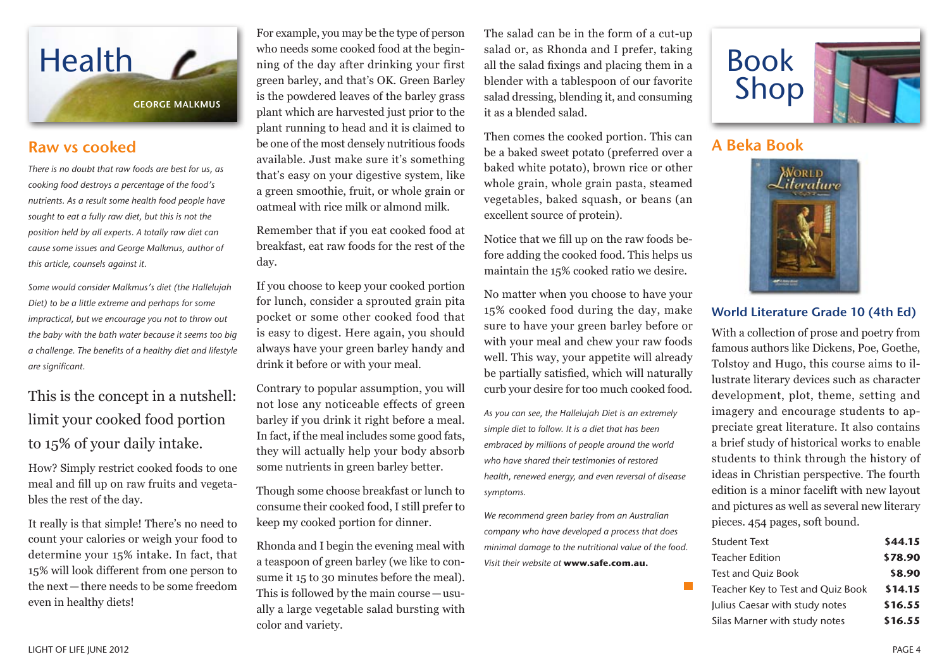

# Raw vs cooked

*There is no doubt that raw foods are best for us, as cooking food destroys a percentage of the food's nutrients. As a result some health food people have sought to eat a fully raw diet, but this is not the position held by all experts. A totally raw diet can cause some issues and George Malkmus, author of this article, counsels against it.*

*Some would consider Malkmus's diet (the Hallelujah Diet) to be a little extreme and perhaps for some impractical, but we encourage you not to throw out the baby with the bath water because it seems too big a challenge. The benefits of a healthy diet and lifestyle are significant.*

# This is the concept in a nutshell: limit your cooked food portion to 15% of your daily intake.

How? Simply restrict cooked foods to one meal and fill up on raw fruits and vegetables the rest of the day.

It really is that simple! There's no need to count your calories or weigh your food to determine your 15% intake. In fact, that 15% will look different from one person to the next—there needs to be some freedom even in healthy diets!

For example, you may be the type of person who needs some cooked food at the beginning of the day after drinking your first green barley, and that's OK. Green Barley is the powdered leaves of the barley grass plant which are harvested just prior to the plant running to head and it is claimed to be one of the most densely nutritious foods available. Just make sure it's something that's easy on your digestive system, like a green smoothie, fruit, or whole grain or oatmeal with rice milk or almond milk.

Remember that if you eat cooked food at breakfast, eat raw foods for the rest of the day.

If you choose to keep your cooked portion for lunch, consider a sprouted grain pita pocket or some other cooked food that is easy to digest. Here again, you should always have your green barley handy and drink it before or with your meal.

Contrary to popular assumption, you will not lose any noticeable effects of green barley if you drink it right before a meal. In fact, if the meal includes some good fats, they will actually help your body absorb some nutrients in green barley better.

Though some choose breakfast or lunch to consume their cooked food, I still prefer to keep my cooked portion for dinner.

Rhonda and I begin the evening meal with a teaspoon of green barley (we like to consume it 15 to 30 minutes before the meal). This is followed by the main course—usually a large vegetable salad bursting with color and variety.

The salad can be in the form of a cut-up salad or, as Rhonda and I prefer, taking all the salad fixings and placing them in a blender with a tablespoon of our favorite salad dressing, blending it, and consuming it as a blended salad.

Then comes the cooked portion. This can be a baked sweet potato (preferred over a baked white potato), brown rice or other whole grain, whole grain pasta, steamed vegetables, baked squash, or beans (an excellent source of protein).

Notice that we fill up on the raw foods before adding the cooked food. This helps us maintain the 15% cooked ratio we desire.

No matter when you choose to have your 15% cooked food during the day, make sure to have your green barley before or with your meal and chew your raw foods well. This way, your appetite will already be partially satisfied, which will naturally curb your desire for too much cooked food.

*As you can see, the Hallelujah Diet is an extremely simple diet to follow. It is a diet that has been embraced by millions of people around the world who have shared their testimonies of restored health, renewed energy, and even reversal of disease symptoms.*

*We recommend green barley from an Australian company who have developed a process that does minimal damage to the nutritional value of the food. Visit their website at* **www.safe.com.au.**



# A Beka Book



## World Literature Grade 10 (4th Ed)

With a collection of prose and poetry from famous authors like Dickens, Poe, Goethe, Tolstoy and Hugo, this course aims to illustrate literary devices such as character development, plot, theme, setting and imagery and encourage students to appreciate great literature. It also contains a brief study of historical works to enable students to think through the history of ideas in Christian perspective. The fourth edition is a minor facelift with new layout and pictures as well as several new literary pieces. 454 pages, soft bound.

| \$44.15                                      |
|----------------------------------------------|
| \$78.90                                      |
| \$8.90                                       |
| \$14.15<br>Teacher Key to Test and Quiz Book |
| \$16.55                                      |
| \$16.55                                      |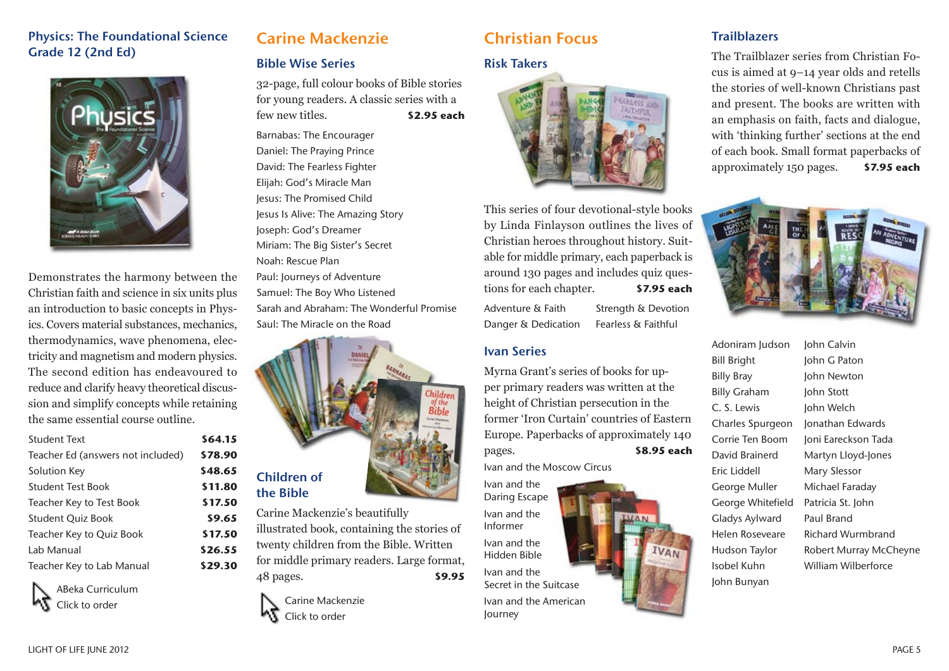## Physics: The Foundational Science Grade 12 (2nd Ed)



Demonstrates the harmony between the Christian faith and science in six units plus an introduction to basic concepts in Physics. Covers material substances, mechanics, thermodynamics, wave phenomena, electricity and magnetism and modern physics. The second edition has endeavoured to reduce and clarify heavy theoretical discussion and simplify concepts while retaining the same essential course outline.

| <b>Student Text</b>               | \$64.15 |
|-----------------------------------|---------|
| Teacher Ed (answers not included) | \$78.90 |
| Solution Key                      | \$48.65 |
| <b>Student Test Book</b>          | \$11.80 |
| Teacher Key to Test Book          | \$17.50 |
| <b>Student Quiz Book</b>          | \$9.65  |
| Teacher Key to Quiz Book          | \$17.50 |
| Lab Manual                        | \$26.55 |
| Teacher Key to Lab Manual         | \$29.30 |
|                                   |         |



# Carine Mackenzie

## Bible Wise Series

32-page, full colour books of Bible stories for young readers. A classic series with a few new titles. **\$2.95 each**

Barnabas: The Encourager Daniel: The Praying Prince David: The Fearless Fighter Elijah: God's Miracle Man Jesus: The Promised Child Jesus Is Alive: The Amazing Story Joseph: God's Dreamer Miriam: The Big Sister's Secret Noah: Rescue Plan Paul: Journeys of Adventure Samuel: The Boy Who Listened Sarah and Abraham: The Wonderful Promise Saul: The Miracle on the Road



Carine Mackenzie's beautifully illustrated book, containing the stories of twenty children from the Bible. Written for middle primary readers. Large format, 48 pages. **\$9.95**



# Christian Focus

### Risk Takers



This series of four devotional-style books by Linda Finlayson outlines the lives of Christian heroes throughout history. Suitable for middle primary, each paperback is around 130 pages and includes quiz questions for each chapter. **\$7.95 each**

Adventure & Faith Strength & Devotion Danger & Dedication Fearless & Faithful

### Ivan Series

Myrna Grant's series of books for upper primary readers was written at the height of Christian persecution in the former 'Iron Curtain' countries of Eastern Europe. Paperbacks of approximately 140 pages. **\$8.95 each**

Ivan and the Moscow Circus

Ivan and the Daring Escape Ivan and the Informer Ivan and the Hidden Bible Ivan and the Secret in the Suitcase Ivan and the American Journey

### **Trailblazers**

The Trailblazer series from Christian Focus is aimed at 9–14 year olds and retells the stories of well-known Christians past and present. The books are written with an emphasis on faith, facts and dialogue, with 'thinking further' sections at the end of each book. Small format paperbacks of approximately 150 pages. **\$7.95 each**



Adoniram Judson John Calvin Bill Bright John G Paton Billy Bray John Newton Billy Graham John Stott C. S. Lewis John Welch Charles Spurgeon Jonathan Edwards Eric Liddell Mary Slessor George Muller Michael Faraday George Whitefield Patricia St. John Gladys Aylward Paul Brand John Bunyan

Corrie Ten Boom Joni Eareckson Tada David Brainerd Martyn Lloyd-Jones Helen Roseveare Richard Wurmbrand Hudson Taylor Robert Murray McCheyne Isobel Kuhn William Wilberforce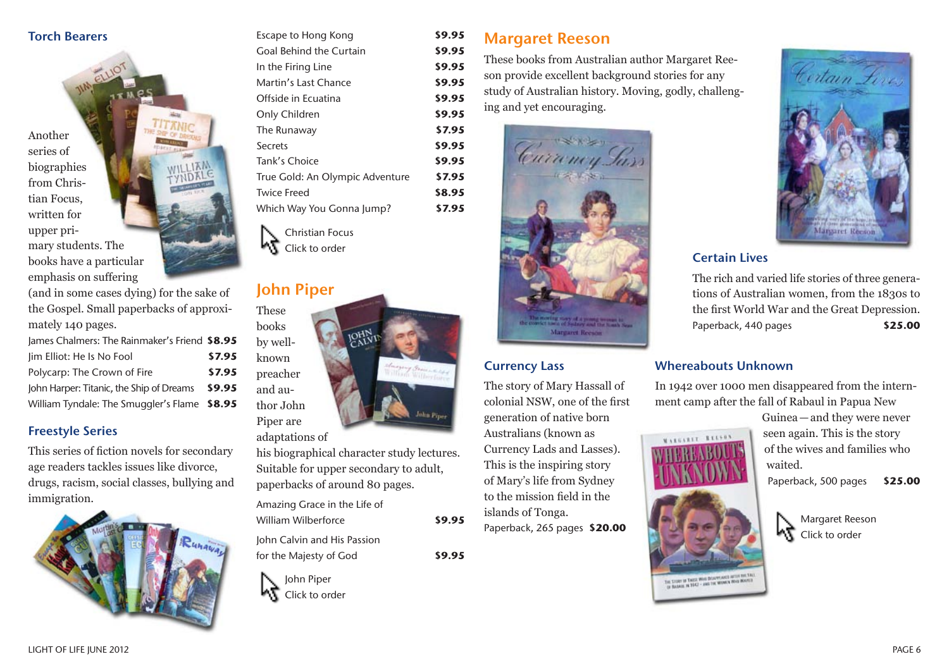## Torch Bearers

Another series of biographies from Christian Focus, written for upper primary students. The books have a particular emphasis on suffering

(and in some cases dying) for the sake of the Gospel. Small paperbacks of approximately 140 pages.

| James Chalmers: The Rainmaker's Friend \$8.95 |        |
|-----------------------------------------------|--------|
| Jim Elliot: He Is No Fool                     | \$7.95 |
| Polycarp: The Crown of Fire                   | \$7.95 |
| John Harper: Titanic, the Ship of Dreams      | \$9.95 |
| William Tyndale: The Smuggler's Flame \$8.95  |        |

### Freestyle Series

This series of fiction novels for secondary age readers tackles issues like divorce, drugs, racism, social classes, bullying and immigration.



| Escape to Hong Kong             | \$9.95 |
|---------------------------------|--------|
| Goal Behind the Curtain         | \$9.95 |
| In the Firing Line              | \$9.95 |
| Martin's Last Chance            | \$9.95 |
| Offside in Ecuatina             | \$9.95 |
| Only Children                   | \$9.95 |
| The Runaway                     | \$7.95 |
| Secrets                         | \$9.95 |
| Tank's Choice                   | \$9.95 |
| True Gold: An Olympic Adventure | \$7.95 |
| <b>Twice Freed</b>              | \$8.95 |
| Which Way You Gonna Jump?       | \$7.95 |
|                                 |        |

Christian Focus Click to order

# John Piper

These books



adaptations of

his biographical character study lectures. Suitable for upper secondary to adult, paperbacks of around 80 pages.

Amazing Grace in the Life of William Wilberforce **\$9.95**

John Calvin and His Passion for the Majesty of God **\$9.95**

John Piper いさ Click to order Margaret Reeson

These books from Australian author Margaret Reeson provide excellent background stories for any study of Australian history. Moving, godly, challenging and yet encouraging.



### Currency Lass

The story of Mary Hassall of colonial NSW, one of the first generation of native born Australians (known as Currency Lads and Lasses). This is the inspiring story of Mary's life from Sydney to the mission field in the islands of Tonga.

Paperback, 265 pages **\$20.00**



STORY OF THESE WAVE DISAPPEARED AFTER THE TALE<br>BASKIE IN 1942 - AND THE WOMEN WAN WANTED



# Certain Lives

The rich and varied life stories of three generations of Australian women, from the 1830s to the first World War and the Great Depression. Paperback, 440 pages **\$25.00**

#### Whereabouts Unknown

In 1942 over 1000 men disappeared from the internment camp after the fall of Rabaul in Papua New

> Guinea—and they were never seen again. This is the story of the wives and families who waited.

Paperback, 500 pages **\$25.00**



Margaret Reeson Click to order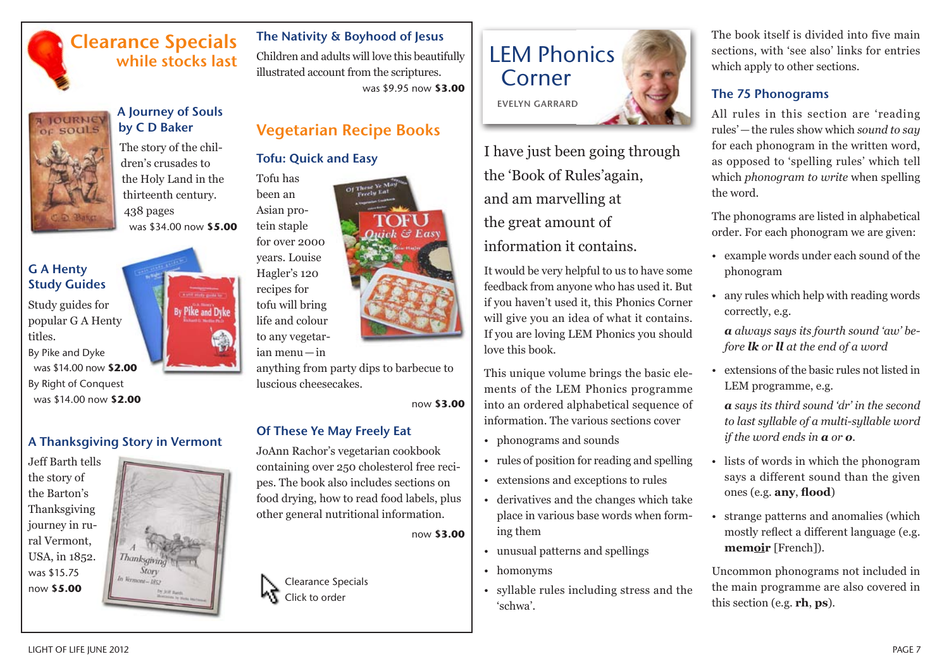# Clearance Specials while stocks last



A Journey of Souls by C D Baker

The story of the children's crusades to the Holy Land in the thirteenth century. 438 pages was \$34.00 now **\$5.00**

# G A Henty Study Guides

Study guides for popular G A Henty titles.

By Pike and Dyke was \$14.00 now **\$2.00** By Right of Conquest was \$14.00 now **\$2.00** 

# A Thanksgiving Story in Vermont

Jeff Barth tells the story of the Barton's Thanksgiving journey in rural Vermont, USA, in 1852. was \$15.75 now **\$5.00**



# The Nativity & Boyhood of Jesus

Children and adults will love this beautifully illustrated account from the scriptures. was \$9.95 now **\$3.00**

# Vegetarian Recipe Books

# Tofu: Quick and Easy

Tofu has been an Asian protein staple for over 2000



ian menu—in

anything from party dips to barbecue to luscious cheesecakes.

now **\$3.00**

 $G$  East

# Of These Ye May Freely Eat

JoAnn Rachor's vegetarian cookbook containing over 250 cholesterol free recipes. The book also includes sections on food drying, how to read food labels, plus other general nutritional information.

now **\$3.00**

Clearance Specials Click to order



I have just been going through the 'Book of Rules'again, and am marvelling at the great amount of information it contains.

It would be very helpful to us to have some feedback from anyone who has used it. But if you haven't used it, this Phonics Corner will give you an idea of what it contains. If you are loving LEM Phonics you should love this book.

This unique volume brings the basic elements of the LEM Phonics programme into an ordered alphabetical sequence of information. The various sections cover

- phonograms and sounds
- rules of position for reading and spelling
- extensions and exceptions to rules
- derivatives and the changes which take place in various base words when forming them
- unusual patterns and spellings
- homonyms
- syllable rules including stress and the 'schwa'.

The book itself is divided into five main sections, with 'see also' links for entries which apply to other sections.

# The 75 Phonograms

All rules in this section are 'reading rules'—the rules show which *sound to say* for each phonogram in the written word, as opposed to 'spelling rules' which tell which *phonogram to write* when spelling the word.

The phonograms are listed in alphabetical order. For each phonogram we are given:

- example words under each sound of the phonogram
- any rules which help with reading words correctly, e.g.

*a always says its fourth sound 'aw' before lk or ll at the end of a word*

• extensions of the basic rules not listed in LEM programme, e.g.

*a says its third sound 'a1 r' in the second to last syllable of a multi-syllable word if the word ends in a or o.*

- lists of words in which the phonogram says a different sound than the given ones (e.g. **any**, **flood**)
- strange patterns and anomalies (which mostly reflect a different language (e.g. **memoir** [French]).

Uncommon phonograms not included in the main programme are also covered in this section (e.g. **rh**, **ps**).